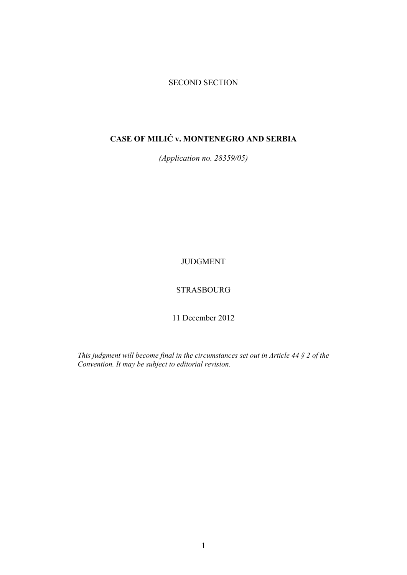## SECOND SECTION

# **CASE OF MILIĆ v. MONTENEGRO AND SERBIA**

*(Application no. 28359/05)* 

JUDGMENT

## STRASBOURG

11 December 2012

*This judgment will become final in the circumstances set out in Article 44 § 2 of the Convention. It may be subject to editorial revision.*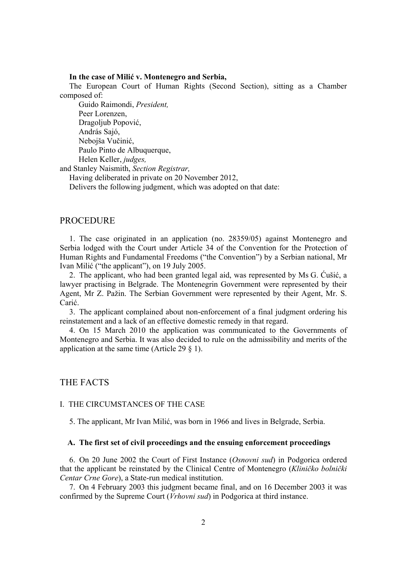#### **In the case of Milić v. Montenegro and Serbia,**

The European Court of Human Rights (Second Section), sitting as a Chamber composed of:

 Guido Raimondi, *President,*  Peer Lorenzen, Dragoljub Popović, András Sajó, Nebojša Vučinić, Paulo Pinto de Albuquerque, Helen Keller, *judges,* and Stanley Naismith, *Section Registrar,* Having deliberated in private on 20 November 2012,

Delivers the following judgment, which was adopted on that date:

## PROCEDURE

1. The case originated in an application (no. 28359/05) against Montenegro and Serbia lodged with the Court under Article 34 of the Convention for the Protection of Human Rights and Fundamental Freedoms ("the Convention") by a Serbian national, Mr Ivan Milić ("the applicant"), on 19 July 2005.

2. The applicant, who had been granted legal aid, was represented by Ms G. Ćušić, a lawyer practising in Belgrade. The Montenegrin Government were represented by their Agent, Mr Z. Pažin. The Serbian Government were represented by their Agent, Mr. S. Carić.

3. The applicant complained about non-enforcement of a final judgment ordering his reinstatement and a lack of an effective domestic remedy in that regard.

4. On 15 March 2010 the application was communicated to the Governments of Montenegro and Serbia. It was also decided to rule on the admissibility and merits of the application at the same time (Article 29 § 1).

## THE FACTS

#### I. THE CIRCUMSTANCES OF THE CASE

5. The applicant, Mr Ivan Milić, was born in 1966 and lives in Belgrade, Serbia.

#### **A. The first set of civil proceedings and the ensuing enforcement proceedings**

6. On 20 June 2002 the Court of First Instance (*Osnovni sud*) in Podgorica ordered that the applicant be reinstated by the Clinical Centre of Montenegro (*Kliničko bolnički Centar Crne Gore*), a State-run medical institution.

7. On 4 February 2003 this judgment became final, and on 16 December 2003 it was confirmed by the Supreme Court (*Vrhovni sud*) in Podgorica at third instance.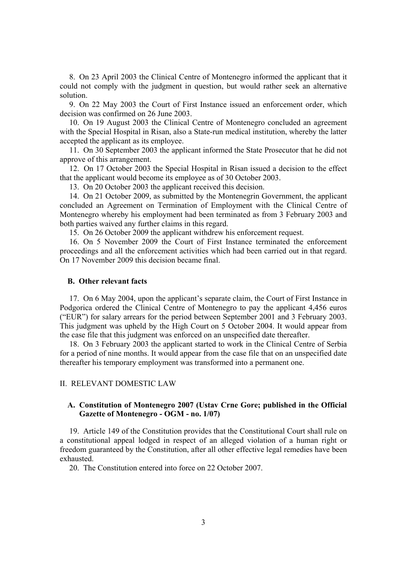8. On 23 April 2003 the Clinical Centre of Montenegro informed the applicant that it could not comply with the judgment in question, but would rather seek an alternative solution.

9. On 22 May 2003 the Court of First Instance issued an enforcement order, which decision was confirmed on 26 June 2003.

10. On 19 August 2003 the Clinical Centre of Montenegro concluded an agreement with the Special Hospital in Risan, also a State-run medical institution, whereby the latter accepted the applicant as its employee.

11. On 30 September 2003 the applicant informed the State Prosecutor that he did not approve of this arrangement.

12. On 17 October 2003 the Special Hospital in Risan issued a decision to the effect that the applicant would become its employee as of 30 October 2003.

13. On 20 October 2003 the applicant received this decision.

14. On 21 October 2009, as submitted by the Montenegrin Government, the applicant concluded an Agreement on Termination of Employment with the Clinical Centre of Montenegro whereby his employment had been terminated as from 3 February 2003 and both parties waived any further claims in this regard.

15. On 26 October 2009 the applicant withdrew his enforcement request.

16. On 5 November 2009 the Court of First Instance terminated the enforcement proceedings and all the enforcement activities which had been carried out in that regard. On 17 November 2009 this decision became final.

#### **B. Other relevant facts**

17. On 6 May 2004, upon the applicant's separate claim, the Court of First Instance in Podgorica ordered the Clinical Centre of Montenegro to pay the applicant 4,456 euros ("EUR") for salary arrears for the period between September 2001 and 3 February 2003. This judgment was upheld by the High Court on 5 October 2004. It would appear from the case file that this judgment was enforced on an unspecified date thereafter.

18. On 3 February 2003 the applicant started to work in the Clinical Centre of Serbia for a period of nine months. It would appear from the case file that on an unspecified date thereafter his temporary employment was transformed into a permanent one.

II. RELEVANT DOMESTIC LAW

## **A. Constitution of Montenegro 2007 (Ustav Crne Gore; published in the Official Gazette of Montenegro - OGM - no. 1/07)**

19. Article 149 of the Constitution provides that the Constitutional Court shall rule on a constitutional appeal lodged in respect of an alleged violation of a human right or freedom guaranteed by the Constitution, after all other effective legal remedies have been exhausted.

20. The Constitution entered into force on 22 October 2007.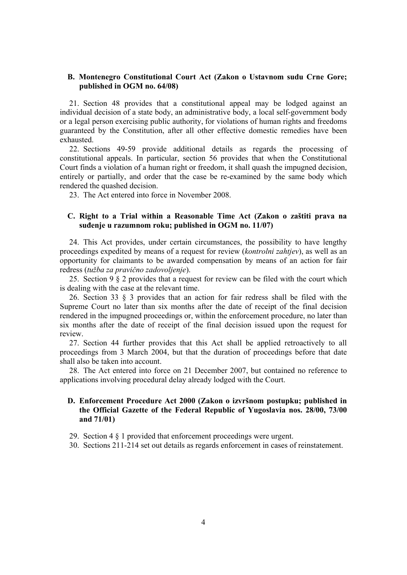## **B. Montenegro Constitutional Court Act (Zakon o Ustavnom sudu Crne Gore; published in OGM no. 64/08)**

21. Section 48 provides that a constitutional appeal may be lodged against an individual decision of a state body, an administrative body, a local self-government body or a legal person exercising public authority, for violations of human rights and freedoms guaranteed by the Constitution, after all other effective domestic remedies have been exhausted.

22. Sections 49-59 provide additional details as regards the processing of constitutional appeals. In particular, section 56 provides that when the Constitutional Court finds a violation of a human right or freedom, it shall quash the impugned decision, entirely or partially, and order that the case be re-examined by the same body which rendered the quashed decision.

23. The Act entered into force in November 2008.

## **C. Right to a Trial within a Reasonable Time Act (Zakon o zaštiti prava na suđenje u razumnom roku; published in OGM no. 11/07)**

24. This Act provides, under certain circumstances, the possibility to have lengthy proceedings expedited by means of a request for review (*kontrolni zahtjev*), as well as an opportunity for claimants to be awarded compensation by means of an action for fair redress (*tužba za pravično zadovoljenje*).

25. Section 9 § 2 provides that a request for review can be filed with the court which is dealing with the case at the relevant time.

26. Section 33 § 3 provides that an action for fair redress shall be filed with the Supreme Court no later than six months after the date of receipt of the final decision rendered in the impugned proceedings or, within the enforcement procedure, no later than six months after the date of receipt of the final decision issued upon the request for review.

27. Section 44 further provides that this Act shall be applied retroactively to all proceedings from 3 March 2004, but that the duration of proceedings before that date shall also be taken into account.

28. The Act entered into force on 21 December 2007, but contained no reference to applications involving procedural delay already lodged with the Court.

## **D. Enforcement Procedure Act 2000 (Zakon o izvršnom postupku; published in the Official Gazette of the Federal Republic of Yugoslavia nos. 28/00, 73/00 and 71/01)**

- 29. Section 4 § 1 provided that enforcement proceedings were urgent.
- 30. Sections 211-214 set out details as regards enforcement in cases of reinstatement.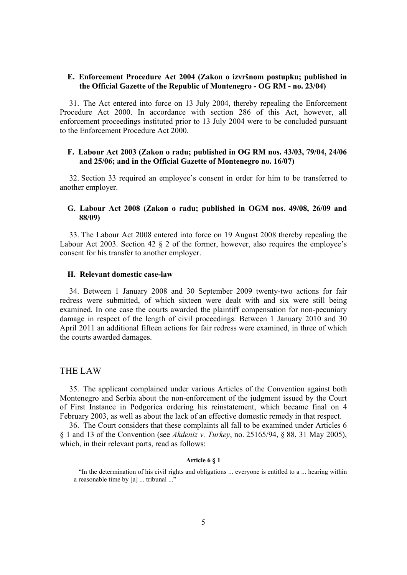## **E. Enforcement Procedure Act 2004 (Zakon o izvršnom postupku; published in the Official Gazette of the Republic of Montenegro - OG RM - no. 23/04)**

31. The Act entered into force on 13 July 2004, thereby repealing the Enforcement Procedure Act 2000. In accordance with section 286 of this Act, however, all enforcement proceedings instituted prior to 13 July 2004 were to be concluded pursuant to the Enforcement Procedure Act 2000.

## **F. Labour Act 2003 (Zakon o radu; published in OG RM nos. 43/03, 79/04, 24/06 and 25/06; and in the Official Gazette of Montenegro no. 16/07)**

32. Section 33 required an employee's consent in order for him to be transferred to another employer.

## **G. Labour Act 2008 (Zakon o radu; published in OGM nos. 49/08, 26/09 and 88/09)**

33. The Labour Act 2008 entered into force on 19 August 2008 thereby repealing the Labour Act 2003. Section 42 § 2 of the former, however, also requires the employee's consent for his transfer to another employer.

## **H. Relevant domestic case-law**

34. Between 1 January 2008 and 30 September 2009 twenty-two actions for fair redress were submitted, of which sixteen were dealt with and six were still being examined. In one case the courts awarded the plaintiff compensation for non-pecuniary damage in respect of the length of civil proceedings. Between 1 January 2010 and 30 April 2011 an additional fifteen actions for fair redress were examined, in three of which the courts awarded damages.

## THE LAW

35. The applicant complained under various Articles of the Convention against both Montenegro and Serbia about the non-enforcement of the judgment issued by the Court of First Instance in Podgorica ordering his reinstatement, which became final on 4 February 2003, as well as about the lack of an effective domestic remedy in that respect.

36. The Court considers that these complaints all fall to be examined under Articles 6 § 1 and 13 of the Convention (see *Akdeniz v. Turkey*, no. 25165/94, § 88, 31 May 2005), which, in their relevant parts, read as follows:

#### **Article 6 § 1**

<sup>&</sup>quot;In the determination of his civil rights and obligations ... everyone is entitled to a ... hearing within a reasonable time by [a] ... tribunal ..."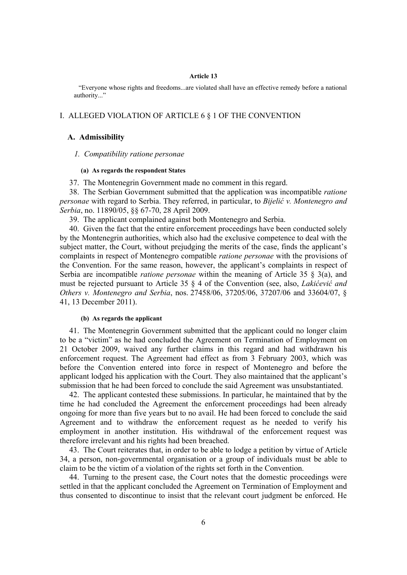#### **Article 13**

"Everyone whose rights and freedoms...are violated shall have an effective remedy before a national authority..."

## I. ALLEGED VIOLATION OF ARTICLE 6 § 1 OF THE CONVENTION

#### **A. Admissibility**

#### *1. Compatibility ratione personae*

#### **(a) As regards the respondent States**

37. The Montenegrin Government made no comment in this regard.

38. The Serbian Government submitted that the application was incompatible *ratione personae* with regard to Serbia. They referred, in particular, to *Bijelić v. Montenegro and Serbia*, no. 11890/05, §§ 67-70, 28 April 2009.

39. The applicant complained against both Montenegro and Serbia.

40. Given the fact that the entire enforcement proceedings have been conducted solely by the Montenegrin authorities, which also had the exclusive competence to deal with the subject matter, the Court, without prejudging the merits of the case, finds the applicant's complaints in respect of Montenegro compatible *ratione personae* with the provisions of the Convention. For the same reason, however, the applicant's complaints in respect of Serbia are incompatible *ratione personae* within the meaning of Article 35 § 3(a), and must be rejected pursuant to Article 35 § 4 of the Convention (see, also, *Lakićević and Others v. Montenegro and Serbia*, nos. 27458/06, 37205/06, 37207/06 and 33604/07, § 41, 13 December 2011).

## **(b) As regards the applicant**

41. The Montenegrin Government submitted that the applicant could no longer claim to be a "victim" as he had concluded the Agreement on Termination of Employment on 21 October 2009, waived any further claims in this regard and had withdrawn his enforcement request. The Agreement had effect as from 3 February 2003, which was before the Convention entered into force in respect of Montenegro and before the applicant lodged his application with the Court. They also maintained that the applicant's submission that he had been forced to conclude the said Agreement was unsubstantiated.

42. The applicant contested these submissions. In particular, he maintained that by the time he had concluded the Agreement the enforcement proceedings had been already ongoing for more than five years but to no avail. He had been forced to conclude the said Agreement and to withdraw the enforcement request as he needed to verify his employment in another institution. His withdrawal of the enforcement request was therefore irrelevant and his rights had been breached.

43. The Court reiterates that, in order to be able to lodge a petition by virtue of Article 34, a person, non-governmental organisation or a group of individuals must be able to claim to be the victim of a violation of the rights set forth in the Convention.

44. Turning to the present case, the Court notes that the domestic proceedings were settled in that the applicant concluded the Agreement on Termination of Employment and thus consented to discontinue to insist that the relevant court judgment be enforced. He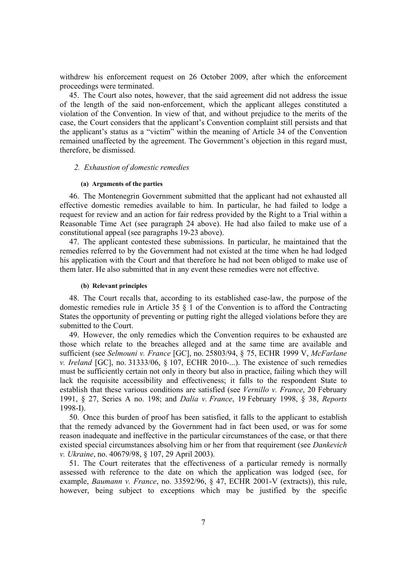withdrew his enforcement request on 26 October 2009, after which the enforcement proceedings were terminated.

45. The Court also notes, however, that the said agreement did not address the issue of the length of the said non-enforcement, which the applicant alleges constituted a violation of the Convention. In view of that, and without prejudice to the merits of the case, the Court considers that the applicant's Convention complaint still persists and that the applicant's status as a "victim" within the meaning of Article 34 of the Convention remained unaffected by the agreement. The Government's objection in this regard must, therefore, be dismissed.

#### *2. Exhaustion of domestic remedies*

#### **(a) Arguments of the parties**

46. The Montenegrin Government submitted that the applicant had not exhausted all effective domestic remedies available to him. In particular, he had failed to lodge a request for review and an action for fair redress provided by the Right to a Trial within a Reasonable Time Act (see paragraph 24 above). He had also failed to make use of a constitutional appeal (see paragraphs 19-23 above).

47. The applicant contested these submissions. In particular, he maintained that the remedies referred to by the Government had not existed at the time when he had lodged his application with the Court and that therefore he had not been obliged to make use of them later. He also submitted that in any event these remedies were not effective.

#### **(b) Relevant principles**

48. The Court recalls that, according to its established case-law, the purpose of the domestic remedies rule in Article 35 § 1 of the Convention is to afford the Contracting States the opportunity of preventing or putting right the alleged violations before they are submitted to the Court.

49. However, the only remedies which the Convention requires to be exhausted are those which relate to the breaches alleged and at the same time are available and sufficient (see *Selmouni v. France* [GC], no. 25803/94, § 75, ECHR 1999 V, *McFarlane v. Ireland* [GC], no. 31333/06, § 107, ECHR 2010-...). The existence of such remedies must be sufficiently certain not only in theory but also in practice, failing which they will lack the requisite accessibility and effectiveness; it falls to the respondent State to establish that these various conditions are satisfied (see *Vernillo v. France*, 20 February 1991, § 27, Series A no. 198; and *Dalia v. France*, 19 February 1998, § 38, *Reports* 1998-I).

50. Once this burden of proof has been satisfied, it falls to the applicant to establish that the remedy advanced by the Government had in fact been used, or was for some reason inadequate and ineffective in the particular circumstances of the case, or that there existed special circumstances absolving him or her from that requirement (see *Dankevich v. Ukraine*, no. 40679/98, § 107, 29 April 2003).

51. The Court reiterates that the effectiveness of a particular remedy is normally assessed with reference to the date on which the application was lodged (see, for example, *Baumann v. France*, no. 33592/96, § 47, ECHR 2001-V (extracts)), this rule, however, being subject to exceptions which may be justified by the specific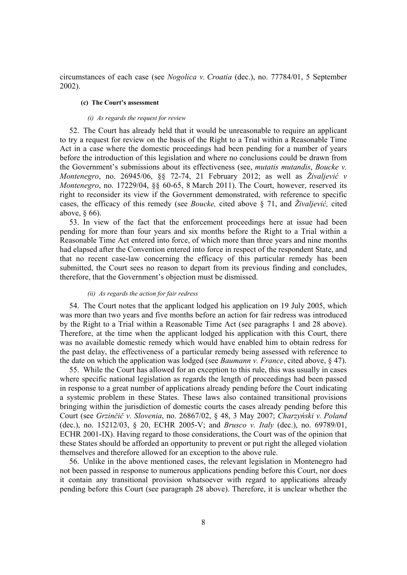circumstances of each case (see *Nogolica v. Croatia* (dec.), no. 77784/01, 5 September 2002).

## **(c) The Court's assessment**

#### *(i) As regards the request for review*

52. The Court has already held that it would be unreasonable to require an applicant to try a request for review on the basis of the Right to a Trial within a Reasonable Time Act in a case where the domestic proceedings had been pending for a number of years before the introduction of this legislation and where no conclusions could be drawn from the Government's submissions about its effectiveness (see, *mutatis mutandis*, *Boucke v. Montenegro*, no. 26945/06, §§ 72-74, 21 February 2012; as well as *Živaljević v Montenegro*, no. 17229/04, §§ 60-65, 8 March 2011). The Court, however, reserved its right to reconsider its view if the Government demonstrated, with reference to specific cases, the efficacy of this remedy (see *Boucke,* cited above § 71, and *Živaljević,* cited above, § 66).

53. In view of the fact that the enforcement proceedings here at issue had been pending for more than four years and six months before the Right to a Trial within a Reasonable Time Act entered into force, of which more than three years and nine months had elapsed after the Convention entered into force in respect of the respondent State, and that no recent case-law concerning the efficacy of this particular remedy has been submitted, the Court sees no reason to depart from its previous finding and concludes, therefore, that the Government's objection must be dismissed.

#### *(ii) As regards the action for fair redress*

54. The Court notes that the applicant lodged his application on 19 July 2005, which was more than two years and five months before an action for fair redress was introduced by the Right to a Trial within a Reasonable Time Act (see paragraphs 1 and 28 above). Therefore, at the time when the applicant lodged his application with this Court, there was no available domestic remedy which would have enabled him to obtain redress for the past delay, the effectiveness of a particular remedy being assessed with reference to the date on which the application was lodged (see *Baumann v. France*, cited above, § 47).

55. While the Court has allowed for an exception to this rule, this was usually in cases where specific national legislation as regards the length of proceedings had been passed in response to a great number of applications already pending before the Court indicating a systemic problem in these States. These laws also contained transitional provisions bringing within the jurisdiction of domestic courts the cases already pending before this Court (see *Grzinčič v. Slovenia*, no. 26867/02, § 48, 3 May 2007; *Charzyński v. Poland* (dec.), no. 15212/03, § 20, ECHR 2005-V; and *Brusco v. Italy* (dec.), no. 69789/01, ECHR 2001-IX). Having regard to those considerations, the Court was of the opinion that these States should be afforded an opportunity to prevent or put right the alleged violation themselves and therefore allowed for an exception to the above rule.

56. Unlike in the above mentioned cases, the relevant legislation in Montenegro had not been passed in response to numerous applications pending before this Court, nor does it contain any transitional provision whatsoever with regard to applications already pending before this Court (see paragraph 28 above). Therefore, it is unclear whether the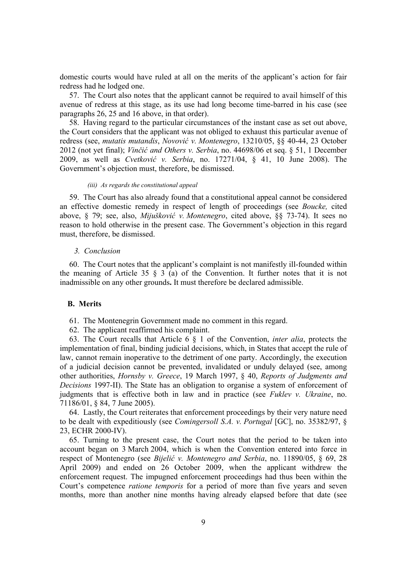domestic courts would have ruled at all on the merits of the applicant's action for fair redress had he lodged one.

57. The Court also notes that the applicant cannot be required to avail himself of this avenue of redress at this stage, as its use had long become time-barred in his case (see paragraphs 26, 25 and 16 above, in that order).

58. Having regard to the particular circumstances of the instant case as set out above, the Court considers that the applicant was not obliged to exhaust this particular avenue of redress (see, *mutatis mutandis*, *Novović v. Montenegro*, 13210/05, §§ 40-44, 23 October 2012 (not yet final); *Vinčić and Others v. Serbia*, no. 44698/06 et seq. § 51, 1 December 2009, as well as *Cvetković v. Serbia*, no. 17271/04, § 41, 10 June 2008). The Government's objection must, therefore, be dismissed.

#### *(iii) As regards the constitutional appeal*

59. The Court has also already found that a constitutional appeal cannot be considered an effective domestic remedy in respect of length of proceedings (see *Boucke,* cited above, § 79; see, also, *Mijušković v. Montenegro*, cited above, §§ 73-74). It sees no reason to hold otherwise in the present case. The Government's objection in this regard must, therefore, be dismissed.

#### *3. Conclusion*

60. The Court notes that the applicant's complaint is not manifestly ill-founded within the meaning of Article 35  $\frac{8}{9}$  a) of the Convention. It further notes that it is not inadmissible on any other grounds**.** It must therefore be declared admissible.

## **B. Merits**

61. The Montenegrin Government made no comment in this regard.

62. The applicant reaffirmed his complaint.

63. The Court recalls that Article 6 § 1 of the Convention, *inter alia*, protects the implementation of final, binding judicial decisions, which, in States that accept the rule of law, cannot remain inoperative to the detriment of one party. Accordingly, the execution of a judicial decision cannot be prevented, invalidated or unduly delayed (see, among other authorities, *Hornsby v. Greece*, 19 March 1997, § 40, *Reports of Judgments and Decisions* 1997-II). The State has an obligation to organise a system of enforcement of judgments that is effective both in law and in practice (see *Fuklev v. Ukraine*, no. 71186/01, § 84, 7 June 2005).

64. Lastly, the Court reiterates that enforcement proceedings by their very nature need to be dealt with expeditiously (see *Comingersoll S.A. v. Portugal* [GC], no. 35382/97, § 23, ECHR 2000-IV).

65. Turning to the present case, the Court notes that the period to be taken into account began on 3 March 2004, which is when the Convention entered into force in respect of Montenegro (see *Bijelić v. Montenegro and Serbia*, no. 11890/05, § 69, 28 April 2009) and ended on 26 October 2009, when the applicant withdrew the enforcement request. The impugned enforcement proceedings had thus been within the Court's competence *ratione temporis* for a period of more than five years and seven months, more than another nine months having already elapsed before that date (see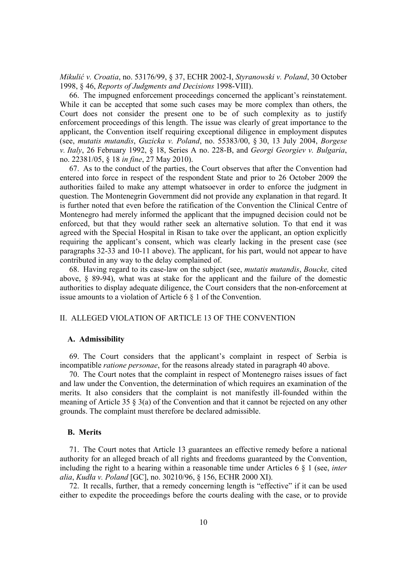*Mikulić v. Croatia*, no. 53176/99, § 37, ECHR 2002-I, *Styranowski v. Poland*, 30 October 1998, § 46, *Reports of Judgments and Decisions* 1998-VIII).

66. The impugned enforcement proceedings concerned the applicant's reinstatement. While it can be accepted that some such cases may be more complex than others, the Court does not consider the present one to be of such complexity as to justify enforcement proceedings of this length. The issue was clearly of great importance to the applicant, the Convention itself requiring exceptional diligence in employment disputes (see, *mutatis mutandis*, *Guzicka v. Poland*, no. 55383/00, § 30, 13 July 2004, *Borgese v. Italy*, 26 February 1992, § 18, Series A no. 228-B, and *Georgi Georgiev v. Bulgaria*, no. 22381/05, § 18 *in fine*, 27 May 2010).

67. As to the conduct of the parties, the Court observes that after the Convention had entered into force in respect of the respondent State and prior to 26 October 2009 the authorities failed to make any attempt whatsoever in order to enforce the judgment in question. The Montenegrin Government did not provide any explanation in that regard. It is further noted that even before the ratification of the Convention the Clinical Centre of Montenegro had merely informed the applicant that the impugned decision could not be enforced, but that they would rather seek an alternative solution. To that end it was agreed with the Special Hospital in Risan to take over the applicant, an option explicitly requiring the applicant's consent, which was clearly lacking in the present case (see paragraphs 32-33 and 10-11 above). The applicant, for his part, would not appear to have contributed in any way to the delay complained of.

68. Having regard to its case-law on the subject (see, *mutatis mutandis*, *Boucke,* cited above, § 89-94), what was at stake for the applicant and the failure of the domestic authorities to display adequate diligence, the Court considers that the non-enforcement at issue amounts to a violation of Article 6 § 1 of the Convention.

## II. ALLEGED VIOLATION OF ARTICLE 13 OF THE CONVENTION

#### **A. Admissibility**

69. The Court considers that the applicant's complaint in respect of Serbia is incompatible *ratione personae*, for the reasons already stated in paragraph 40 above.

70. The Court notes that the complaint in respect of Montenegro raises issues of fact and law under the Convention, the determination of which requires an examination of the merits. It also considers that the complaint is not manifestly ill-founded within the meaning of Article 35 § 3(a) of the Convention and that it cannot be rejected on any other grounds. The complaint must therefore be declared admissible.

## **B. Merits**

71. The Court notes that Article 13 guarantees an effective remedy before a national authority for an alleged breach of all rights and freedoms guaranteed by the Convention, including the right to a hearing within a reasonable time under Articles 6 § 1 (see, *inter alia*, *Kudła v. Poland* [GC], no. 30210/96, § 156, ECHR 2000 XI).

72. It recalls, further, that a remedy concerning length is "effective" if it can be used either to expedite the proceedings before the courts dealing with the case, or to provide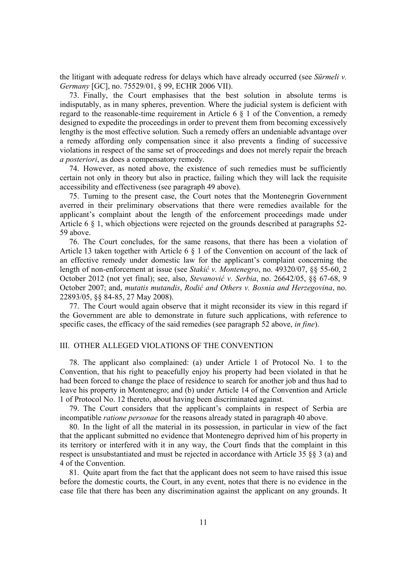the litigant with adequate redress for delays which have already occurred (see *Sürmeli v. Germany* [GC], no. 75529/01, § 99, ECHR 2006 VII).

73. Finally, the Court emphasises that the best solution in absolute terms is indisputably, as in many spheres, prevention. Where the judicial system is deficient with regard to the reasonable-time requirement in Article 6 § 1 of the Convention, a remedy designed to expedite the proceedings in order to prevent them from becoming excessively lengthy is the most effective solution. Such a remedy offers an undeniable advantage over a remedy affording only compensation since it also prevents a finding of successive violations in respect of the same set of proceedings and does not merely repair the breach *a posteriori*, as does a compensatory remedy.

74. However, as noted above, the existence of such remedies must be sufficiently certain not only in theory but also in practice, failing which they will lack the requisite accessibility and effectiveness (see paragraph 49 above).

75. Turning to the present case, the Court notes that the Montenegrin Government averred in their preliminary observations that there were remedies available for the applicant's complaint about the length of the enforcement proceedings made under Article 6 § 1, which objections were rejected on the grounds described at paragraphs 52- 59 above.

76. The Court concludes, for the same reasons, that there has been a violation of Article 13 taken together with Article 6 § 1 of the Convention on account of the lack of an effective remedy under domestic law for the applicant's complaint concerning the length of non-enforcement at issue (see *Stakić v. Montenegro*, no. 49320/07, §§ 55-60, 2 October 2012 (not yet final); see, also, *Stevanović v. Serbia*, no. 26642/05, §§ 67-68, 9 October 2007; and, *mutatis mutandis*, *Rodić and Others v. Bosnia and Herzegovina*, no. 22893/05, §§ 84-85, 27 May 2008).

77. The Court would again observe that it might reconsider its view in this regard if the Government are able to demonstrate in future such applications, with reference to specific cases, the efficacy of the said remedies (see paragraph 52 above, *in fine*).

## III. OTHER ALLEGED VIOLATIONS OF THE CONVENTION

78. The applicant also complained: (a) under Article 1 of Protocol No. 1 to the Convention, that his right to peacefully enjoy his property had been violated in that he had been forced to change the place of residence to search for another job and thus had to leave his property in Montenegro; and (b) under Article 14 of the Convention and Article 1 of Protocol No. 12 thereto, about having been discriminated against.

79. The Court considers that the applicant's complaints in respect of Serbia are incompatible *ratione personae* for the reasons already stated in paragraph 40 above.

80. In the light of all the material in its possession, in particular in view of the fact that the applicant submitted no evidence that Montenegro deprived him of his property in its territory or interfered with it in any way, the Court finds that the complaint in this respect is unsubstantiated and must be rejected in accordance with Article 35 §§ 3 (a) and 4 of the Convention.

81. Quite apart from the fact that the applicant does not seem to have raised this issue before the domestic courts, the Court, in any event, notes that there is no evidence in the case file that there has been any discrimination against the applicant on any grounds. It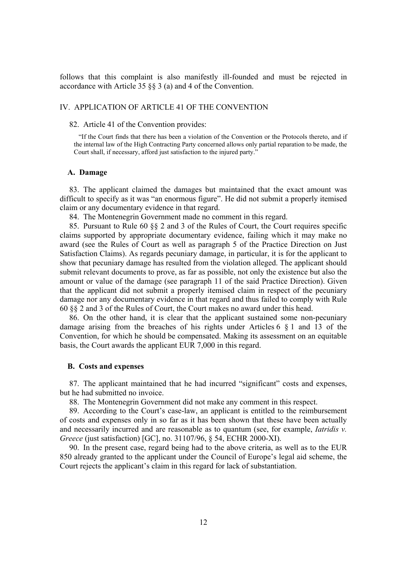follows that this complaint is also manifestly ill-founded and must be rejected in accordance with Article 35 §§ 3 (a) and 4 of the Convention.

## IV. APPLICATION OF ARTICLE 41 OF THE CONVENTION

#### 82. Article 41 of the Convention provides:

"If the Court finds that there has been a violation of the Convention or the Protocols thereto, and if the internal law of the High Contracting Party concerned allows only partial reparation to be made, the Court shall, if necessary, afford just satisfaction to the injured party."

#### **A. Damage**

83. The applicant claimed the damages but maintained that the exact amount was difficult to specify as it was "an enormous figure". He did not submit a properly itemised claim or any documentary evidence in that regard.

84. The Montenegrin Government made no comment in this regard.

85. Pursuant to Rule 60 §§ 2 and 3 of the Rules of Court, the Court requires specific claims supported by appropriate documentary evidence, failing which it may make no award (see the Rules of Court as well as paragraph 5 of the Practice Direction on Just Satisfaction Claims). As regards pecuniary damage, in particular, it is for the applicant to show that pecuniary damage has resulted from the violation alleged. The applicant should submit relevant documents to prove, as far as possible, not only the existence but also the amount or value of the damage (see paragraph 11 of the said Practice Direction). Given that the applicant did not submit a properly itemised claim in respect of the pecuniary damage nor any documentary evidence in that regard and thus failed to comply with Rule 60 §§ 2 and 3 of the Rules of Court, the Court makes no award under this head.

86. On the other hand, it is clear that the applicant sustained some non-pecuniary damage arising from the breaches of his rights under Articles 6 § 1 and 13 of the Convention, for which he should be compensated. Making its assessment on an equitable basis, the Court awards the applicant EUR 7,000 in this regard.

## **B. Costs and expenses**

87. The applicant maintained that he had incurred "significant" costs and expenses, but he had submitted no invoice.

88. The Montenegrin Government did not make any comment in this respect.

89. According to the Court's case-law, an applicant is entitled to the reimbursement of costs and expenses only in so far as it has been shown that these have been actually and necessarily incurred and are reasonable as to quantum (see, for example, *Iatridis v. Greece* (just satisfaction) [GC], no. 31107/96, 8 54, ECHR 2000-XI).

90. In the present case, regard being had to the above criteria, as well as to the EUR 850 already granted to the applicant under the Council of Europe's legal aid scheme, the Court rejects the applicant's claim in this regard for lack of substantiation.